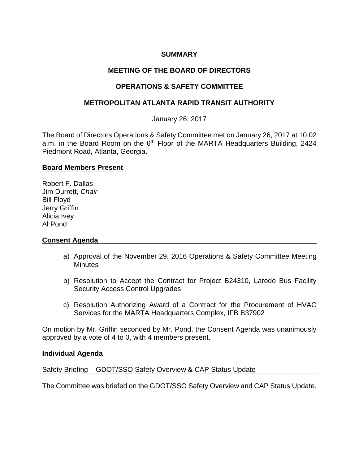## **SUMMARY**

# **MEETING OF THE BOARD OF DIRECTORS**

# **OPERATIONS & SAFETY COMMITTEE**

### **METROPOLITAN ATLANTA RAPID TRANSIT AUTHORITY**

January 26, 2017

The Board of Directors Operations & Safety Committee met on January 26, 2017 at 10:02 a.m. in the Board Room on the 6<sup>th</sup> Floor of the MARTA Headquarters Building, 2424 Piedmont Road, Atlanta, Georgia.

#### **Board Members Present**

Robert F. Dallas Jim Durrett, *Chair* Bill Floyd Jerry Griffin Alicia Ivey Al Pond

### **Consent Agenda**

- a) Approval of the November 29, 2016 Operations & Safety Committee Meeting **Minutes**
- b) Resolution to Accept the Contract for Project B24310, Laredo Bus Facility Security Access Control Upgrades
- c) Resolution Authorizing Award of a Contract for the Procurement of HVAC Services for the MARTA Headquarters Complex, IFB B37902

On motion by Mr. Griffin seconded by Mr. Pond, the Consent Agenda was unanimously approved by a vote of 4 to 0, with 4 members present.

#### **Individual Agenda**

Safety Briefing – GDOT/SSO Safety Overview & CAP Status Update

The Committee was briefed on the GDOT/SSO Safety Overview and CAP Status Update.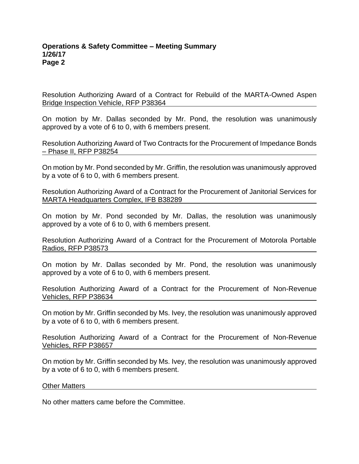Resolution Authorizing Award of a Contract for Rebuild of the MARTA-Owned Aspen Bridge Inspection Vehicle, RFP P38364

On motion by Mr. Dallas seconded by Mr. Pond, the resolution was unanimously approved by a vote of 6 to 0, with 6 members present.

Resolution Authorizing Award of Two Contracts for the Procurement of Impedance Bonds – Phase II, RFP P38254

On motion by Mr. Pond seconded by Mr. Griffin, the resolution was unanimously approved by a vote of 6 to 0, with 6 members present.

Resolution Authorizing Award of a Contract for the Procurement of Janitorial Services for MARTA Headquarters Complex, IFB B38289

On motion by Mr. Pond seconded by Mr. Dallas, the resolution was unanimously approved by a vote of 6 to 0, with 6 members present.

Resolution Authorizing Award of a Contract for the Procurement of Motorola Portable Radios, RFP P38573

On motion by Mr. Dallas seconded by Mr. Pond, the resolution was unanimously approved by a vote of 6 to 0, with 6 members present.

Resolution Authorizing Award of a Contract for the Procurement of Non-Revenue Vehicles, RFP P38634

On motion by Mr. Griffin seconded by Ms. Ivey, the resolution was unanimously approved by a vote of 6 to 0, with 6 members present.

Resolution Authorizing Award of a Contract for the Procurement of Non-Revenue Vehicles, RFP P38657

On motion by Mr. Griffin seconded by Ms. Ivey, the resolution was unanimously approved by a vote of 6 to 0, with 6 members present.

#### Other Matters

No other matters came before the Committee.